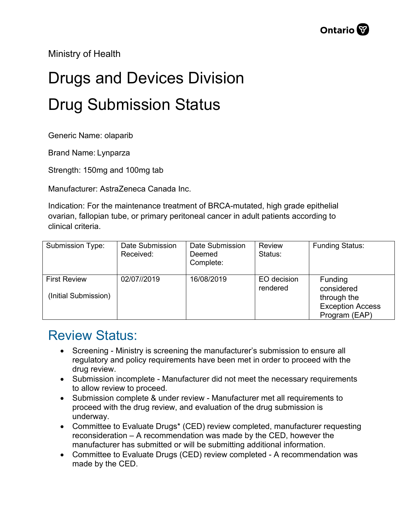Ministry of Health

## Drugs and Devices Division Drug Submission Status

Generic Name: olaparib

Brand Name: Lynparza

Strength: 150mg and 100mg tab

Manufacturer: AstraZeneca Canada Inc.

Indication: For the maintenance treatment of BRCA-mutated, high grade epithelial ovarian, fallopian tube, or primary peritoneal cancer in adult patients according to clinical criteria.

| <b>Submission Type:</b>                     | Date Submission<br>Received: | Date Submission<br>Deemed<br>Complete: | Review<br>Status:       | <b>Funding Status:</b>                                                                  |
|---------------------------------------------|------------------------------|----------------------------------------|-------------------------|-----------------------------------------------------------------------------------------|
| <b>First Review</b><br>(Initial Submission) | 02/07//2019                  | 16/08/2019                             | EO decision<br>rendered | <b>Funding</b><br>considered<br>through the<br><b>Exception Access</b><br>Program (EAP) |

## Review Status:

- Screening Ministry is screening the manufacturer's submission to ensure all regulatory and policy requirements have been met in order to proceed with the drug review.
- Submission incomplete Manufacturer did not meet the necessary requirements to allow review to proceed.
- Submission complete & under review Manufacturer met all requirements to proceed with the drug review, and evaluation of the drug submission is underway.
- Committee to Evaluate Drugs\* (CED) review completed, manufacturer requesting reconsideration – A recommendation was made by the CED, however the manufacturer has submitted or will be submitting additional information.
- Committee to Evaluate Drugs (CED) review completed A recommendation was made by the CED.